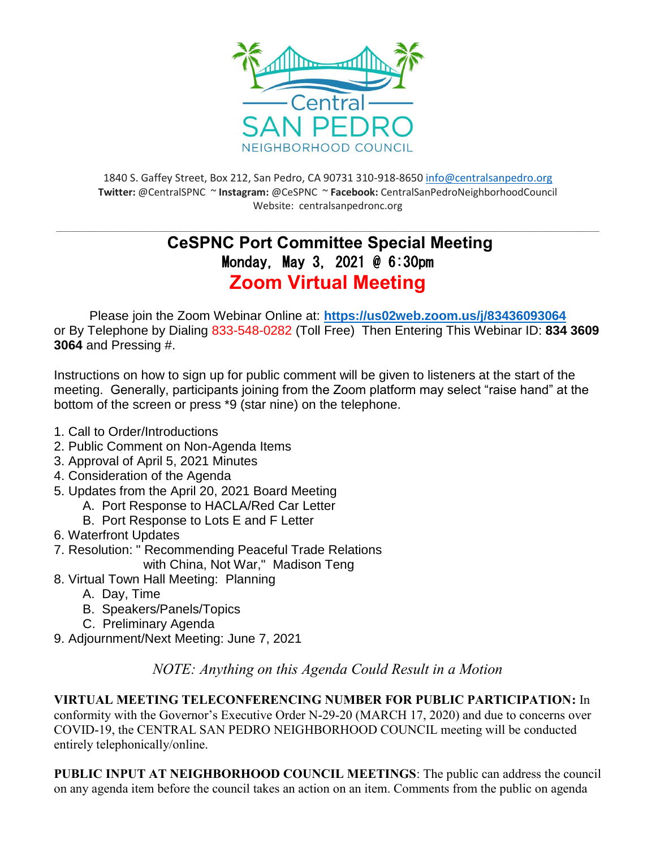

1840 S. Gaffey Street, Box 212, San Pedro, CA 90731 310-918-865[0 info@centralsanpedro.org](mailto:info@centralsanpedro.org) **Twitter:** @CentralSPNC ~ **Instagram:** @CeSPNC ~ **Facebook:** CentralSanPedroNeighborhoodCouncil Website: centralsanpedronc.org

## **\_\_\_\_\_\_\_\_\_\_\_\_\_\_\_\_\_\_\_\_\_\_\_\_\_\_\_\_\_\_\_\_\_\_\_\_\_\_\_\_\_\_\_\_\_\_\_\_\_\_\_\_\_\_\_\_\_\_\_\_\_\_\_\_\_\_\_\_\_\_\_\_\_\_\_\_\_\_\_\_\_\_\_\_\_\_\_\_\_\_\_\_\_\_\_\_\_\_\_\_\_\_\_\_\_\_\_\_\_\_\_\_\_\_ CeSPNC Port Committee Special Meeting** Monday, May 3, 2021 @ 6:30pm **Zoom Virtual Meeting**

Please join the Zoom Webinar Online at: **<https://us02web.zoom.us/j/83436093064>** or By Telephone by Dialing 833-548-0282 (Toll Free) Then Entering This Webinar ID: **834 3609 3064** and Pressing #.

Instructions on how to sign up for public comment will be given to listeners at the start of the meeting. Generally, participants joining from the Zoom platform may select "raise hand" at the bottom of the screen or press \*9 (star nine) on the telephone.

- 1. Call to Order/Introductions
- 2. Public Comment on Non-Agenda Items
- 3. Approval of April 5, 2021 Minutes
- 4. Consideration of the Agenda
- 5. Updates from the April 20, 2021 Board Meeting
	- A. Port Response to HACLA/Red Car Letter
		- B. Port Response to Lots E and F Letter
- 6. Waterfront Updates
- 7. Resolution: " Recommending Peaceful Trade Relations

with China, Not War," Madison Teng

- 8. Virtual Town Hall Meeting: Planning
	- A. Day, Time
	- B. Speakers/Panels/Topics
	- C. Preliminary Agenda
- 9. Adjournment/Next Meeting: June 7, 2021

*NOTE: Anything on this Agenda Could Result in a Motion*

**VIRTUAL MEETING TELECONFERENCING NUMBER FOR PUBLIC PARTICIPATION:** In conformity with the Governor's Executive Order N-29-20 (MARCH 17, 2020) and due to concerns over COVID-19, the CENTRAL SAN PEDRO NEIGHBORHOOD COUNCIL meeting will be conducted entirely telephonically/online.

**PUBLIC INPUT AT NEIGHBORHOOD COUNCIL MEETINGS**: The public can address the council on any agenda item before the council takes an action on an item. Comments from the public on agenda